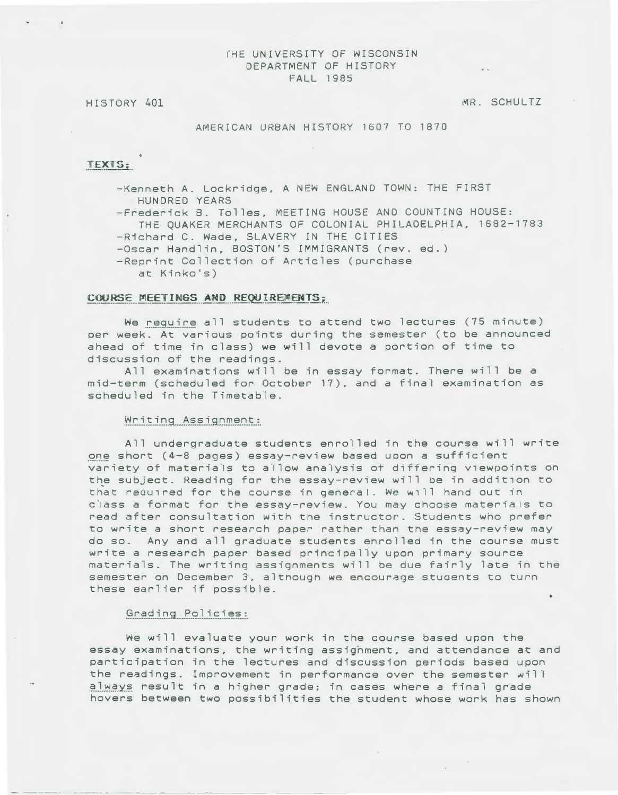### fHE UNIVERSITY OF WISCONSIN DEPARTMENT OF HISTORY FALL 1985

#### HI STORY 401

MR. SCHULTZ

#### AMERICAN URBAN HISTORY 1607 TO 1870

## TEXTS;

-Kenneth A. Lockridge, A NEW ENGLAND TOWN: THE FIRST HUNDRED YEARS

-Frederick 8. Tolles, MEETING HOUSE AND COUNTING HOUSE: THE QUAKER MERCHANTS OF COLONIAL PHILADELPHIA, 1682-1783 -Richard C. Wade, SLAVERY IN THE CITIES -Oscar Handlin, BOSTON'S IMMIGRANTS (rev. ed.)

-Reprint Collection of Articles (purchase

at Kinko's)

## COURSE MEETINGS AND REQUIREMENTS;

We require all students to attend two lectures (75 minute) per week. At various points during the semester (to be announced ahead of time in class) we will devote a portion of time to discussion of the readings.

All examinations will be in essay format. There will be a mid-term (scheduled for October 17), and a final examination as scheduled in the Timetable.

#### Writing Assignment:

All undergraduate students enrolled in the course will write 90§ short (4-8 pages) essay-review based uoon a sufficient variety of materials to allow analysis of differing viewpoints on the subject. Reading for the essay-review will be in addition to that required for the course in general. We will hand out in class a format for the essay-review. You may choose materials to read after consultation with the instructor. Students who prefer to write a short research paper rather than the essay-review may do so. Any and all graduate students enrolled in the course must write a research paper based principally upon primary source materials. The writing assignments will be due fairly late in the semester on December 3, although we encourage stuaents to turn these earlier if possible.

#### Grading Policies:

- ---- -·- - - --- -----------

We will evaluate your work in the course based upon the essay examinations, the writing assignment, and attendance at and participation in the lectures and discussion periods based upon the readings. Improvement in performance over the semester will always result in a higher grade; in cases where a final grade hovers between two possibilities the student whose work has shown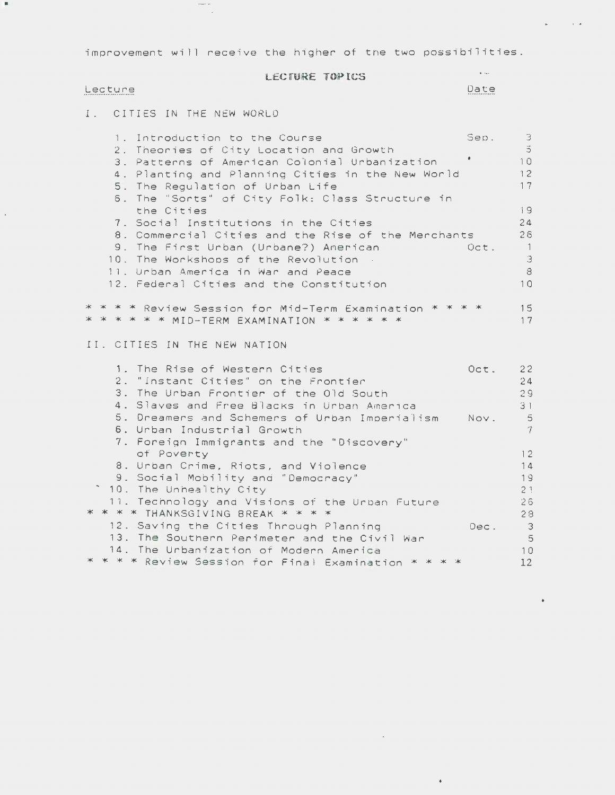improvement will receive the higher of the two possibilities.

# LECTURE TOPICS

# Lecture

 $\sim$ 

 $\overline{a}$ 

 $\sim$  and Date  $\sim 10^{-10}$  km s  $^{-1}$ 

I. CITIES IN THE NEW WORLD

 $\overline{\phantom{a}}$  .

| 1. Introduction to the Course                           | Sep. | $\Im$            |
|---------------------------------------------------------|------|------------------|
| 2. Theories of City Location and Growth                 |      | $\ddot{\circ}$   |
| 3. Patterns of American Colonial Urbanization           |      | 10               |
| Planting and Planning Cities in the New World<br>$4$ .  |      | 12               |
| 5. The Regulation of Urban Life                         |      | 17               |
| 6. The "Sorts" of City Folk: Class Structure in         |      |                  |
| the Cities                                              |      | 19               |
| 7. Social Institutions in the Cities                    |      | 24               |
| 8. Commercial Cities and the Rise of the Merchants      |      | 26               |
| 9. The First Urban (Urbane?) American                   | Oct. | $\sqrt{1}$       |
| 10. The Workshops of the Revolution                     |      | $\Im$            |
| 11. Unban America in War and Peace                      |      | $\mbox{ }8$      |
| 12. Federal Cities and the Constitution                 |      | 10               |
|                                                         |      |                  |
| * * * * Review Session for Mid-Term Examination * * * * |      | 15               |
| * * * * * * MID-TERM EXAMINATION * * * * * *            |      | 17               |
|                                                         |      |                  |
| II. CITIES IN THE NEW NATION                            |      |                  |
|                                                         |      |                  |
| 1. The Rise of Western Cities                           | Oct. | 22               |
| "Instant Cities" on the Frontier<br>$2$ .               |      | 24               |
| 3. The Urban Frontier of the Old South                  |      | 29               |
| 4. Slaves and Free Blacks in Urban America              |      | 31               |
| 5. Dreamers and Schemers of Urban Imperialism           | Nov. | $\ddot{\circ}$   |
| 6. Urban Industrial Growth                              |      | $\dddot{\gamma}$ |
| 7. Foreign Immigrants and the "Discovery"               |      |                  |
| of Poverty                                              |      | 12               |
| 8. Urban Crime, Riots, and Violence                     |      | 14               |
| 9. Social Mobility and "Democracy"                      |      | 19               |
| <sup>-</sup> 10. The Unhealthy City                     |      | 21               |
| 11. Technology and Visions of the Urban Future          |      | 26               |
| * * * * THANKSGIVING BREAK * * * *                      |      | 28               |
| 12. Saving the Cities Through Planning                  |      | $\overline{3}$   |
| 13. The Southern Perimeter and the Civil War            | Dec. | -5               |
|                                                         |      |                  |
| 14. The Urbanization of Modern America                  |      | 10               |
| * * * * Review Session for Final Examination *          |      | 12               |

 $\sim 10^{-11}$ 

 $\bullet$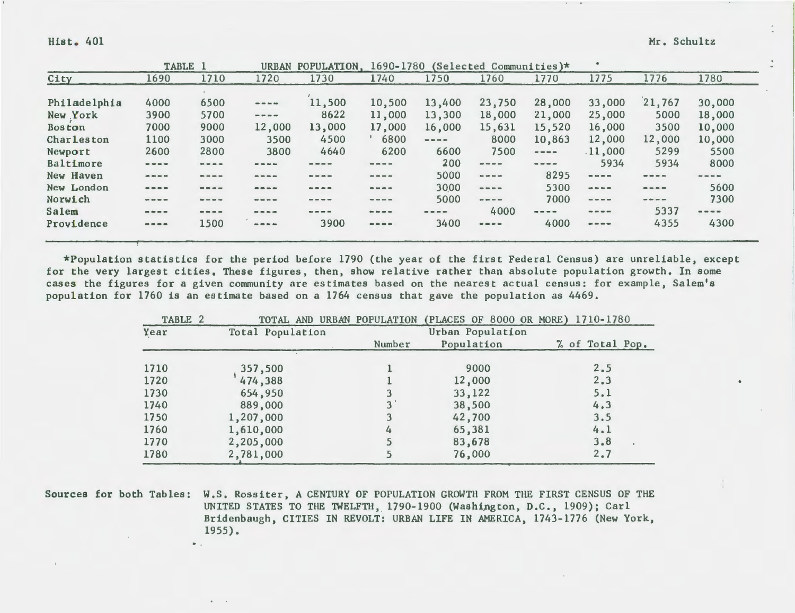# Hist. 401 Mr. Schultz

|               |                                                                                                                                                                                                                                                                                                                                                                                                                                                                                         | TABLE 1                                                                                  | <b>URBAN</b>                                                                                                                                                                                                                                                                                                                                                                                 | POPULATION.                                                                                                                                                                                                                                                                                                                                                                                                                                                                | 1690-1780                                                                                                                                                                                                                                                                                                                                                                                                                                                                  |                                                                                                                                                                                                                                                                                                                                                                                              | (Selected Communities) $*$                                                                                                                                                                                                                                                                                                                                                                   |                                                                                                                                                                                                                                                                                                                                                                                              |                                                                                                                                                                                                                                                                                                                                                                                                                                                                            |                                                                                                                                                                                                                                                                                                                                                                                                                                   |        |
|---------------|-----------------------------------------------------------------------------------------------------------------------------------------------------------------------------------------------------------------------------------------------------------------------------------------------------------------------------------------------------------------------------------------------------------------------------------------------------------------------------------------|------------------------------------------------------------------------------------------|----------------------------------------------------------------------------------------------------------------------------------------------------------------------------------------------------------------------------------------------------------------------------------------------------------------------------------------------------------------------------------------------|----------------------------------------------------------------------------------------------------------------------------------------------------------------------------------------------------------------------------------------------------------------------------------------------------------------------------------------------------------------------------------------------------------------------------------------------------------------------------|----------------------------------------------------------------------------------------------------------------------------------------------------------------------------------------------------------------------------------------------------------------------------------------------------------------------------------------------------------------------------------------------------------------------------------------------------------------------------|----------------------------------------------------------------------------------------------------------------------------------------------------------------------------------------------------------------------------------------------------------------------------------------------------------------------------------------------------------------------------------------------|----------------------------------------------------------------------------------------------------------------------------------------------------------------------------------------------------------------------------------------------------------------------------------------------------------------------------------------------------------------------------------------------|----------------------------------------------------------------------------------------------------------------------------------------------------------------------------------------------------------------------------------------------------------------------------------------------------------------------------------------------------------------------------------------------|----------------------------------------------------------------------------------------------------------------------------------------------------------------------------------------------------------------------------------------------------------------------------------------------------------------------------------------------------------------------------------------------------------------------------------------------------------------------------|-----------------------------------------------------------------------------------------------------------------------------------------------------------------------------------------------------------------------------------------------------------------------------------------------------------------------------------------------------------------------------------------------------------------------------------|--------|
| City          | 1690                                                                                                                                                                                                                                                                                                                                                                                                                                                                                    | 1710                                                                                     | 1720                                                                                                                                                                                                                                                                                                                                                                                         | 1730                                                                                                                                                                                                                                                                                                                                                                                                                                                                       | 1740                                                                                                                                                                                                                                                                                                                                                                                                                                                                       | 1750                                                                                                                                                                                                                                                                                                                                                                                         | 1760                                                                                                                                                                                                                                                                                                                                                                                         | 1770                                                                                                                                                                                                                                                                                                                                                                                         | 1775                                                                                                                                                                                                                                                                                                                                                                                                                                                                       | 1776                                                                                                                                                                                                                                                                                                                                                                                                                              | 1780   |
|               |                                                                                                                                                                                                                                                                                                                                                                                                                                                                                         |                                                                                          |                                                                                                                                                                                                                                                                                                                                                                                              |                                                                                                                                                                                                                                                                                                                                                                                                                                                                            |                                                                                                                                                                                                                                                                                                                                                                                                                                                                            |                                                                                                                                                                                                                                                                                                                                                                                              |                                                                                                                                                                                                                                                                                                                                                                                              |                                                                                                                                                                                                                                                                                                                                                                                              |                                                                                                                                                                                                                                                                                                                                                                                                                                                                            |                                                                                                                                                                                                                                                                                                                                                                                                                                   |        |
| Philadelphia  | 4000                                                                                                                                                                                                                                                                                                                                                                                                                                                                                    | 6500                                                                                     | $\qquad \qquad \  \  \, -\,-\,-\,-\,$                                                                                                                                                                                                                                                                                                                                                        | 11,500                                                                                                                                                                                                                                                                                                                                                                                                                                                                     | 10,500                                                                                                                                                                                                                                                                                                                                                                                                                                                                     | 13,400                                                                                                                                                                                                                                                                                                                                                                                       | 23,750                                                                                                                                                                                                                                                                                                                                                                                       | 28,000                                                                                                                                                                                                                                                                                                                                                                                       | 33,000                                                                                                                                                                                                                                                                                                                                                                                                                                                                     | 21,767                                                                                                                                                                                                                                                                                                                                                                                                                            | 30,000 |
| New York      | 3900                                                                                                                                                                                                                                                                                                                                                                                                                                                                                    | 5700                                                                                     | $\frac{1}{2} \frac{1}{2} \frac{1}{2} \frac{1}{2} \frac{1}{2} \frac{1}{2} \frac{1}{2} \frac{1}{2} \frac{1}{2} \frac{1}{2} \frac{1}{2} \frac{1}{2} \frac{1}{2} \frac{1}{2} \frac{1}{2} \frac{1}{2} \frac{1}{2} \frac{1}{2} \frac{1}{2} \frac{1}{2} \frac{1}{2} \frac{1}{2} \frac{1}{2} \frac{1}{2} \frac{1}{2} \frac{1}{2} \frac{1}{2} \frac{1}{2} \frac{1}{2} \frac{1}{2} \frac{1}{2} \frac{$ | 8622                                                                                                                                                                                                                                                                                                                                                                                                                                                                       | 11,000                                                                                                                                                                                                                                                                                                                                                                                                                                                                     | 13,300                                                                                                                                                                                                                                                                                                                                                                                       | 18,000                                                                                                                                                                                                                                                                                                                                                                                       | 21,000                                                                                                                                                                                                                                                                                                                                                                                       | 25,000                                                                                                                                                                                                                                                                                                                                                                                                                                                                     | 5000                                                                                                                                                                                                                                                                                                                                                                                                                              | 18,000 |
| <b>Boston</b> | 7000                                                                                                                                                                                                                                                                                                                                                                                                                                                                                    | 9000                                                                                     | 12,000                                                                                                                                                                                                                                                                                                                                                                                       | 13,000                                                                                                                                                                                                                                                                                                                                                                                                                                                                     | 17,000                                                                                                                                                                                                                                                                                                                                                                                                                                                                     | 16,000                                                                                                                                                                                                                                                                                                                                                                                       | 15,631                                                                                                                                                                                                                                                                                                                                                                                       | 15,520                                                                                                                                                                                                                                                                                                                                                                                       | 16,000                                                                                                                                                                                                                                                                                                                                                                                                                                                                     | 3500                                                                                                                                                                                                                                                                                                                                                                                                                              | 10,000 |
| Charleston    | 1100                                                                                                                                                                                                                                                                                                                                                                                                                                                                                    | 3000                                                                                     | 3500                                                                                                                                                                                                                                                                                                                                                                                         | 4500                                                                                                                                                                                                                                                                                                                                                                                                                                                                       | 6800                                                                                                                                                                                                                                                                                                                                                                                                                                                                       | $\frac{1}{2} \frac{1}{2} \frac{1}{2} \frac{1}{2} \frac{1}{2} \frac{1}{2} \frac{1}{2} \frac{1}{2} \frac{1}{2} \frac{1}{2} \frac{1}{2} \frac{1}{2} \frac{1}{2} \frac{1}{2} \frac{1}{2} \frac{1}{2} \frac{1}{2} \frac{1}{2} \frac{1}{2} \frac{1}{2} \frac{1}{2} \frac{1}{2} \frac{1}{2} \frac{1}{2} \frac{1}{2} \frac{1}{2} \frac{1}{2} \frac{1}{2} \frac{1}{2} \frac{1}{2} \frac{1}{2} \frac{$ | 8000                                                                                                                                                                                                                                                                                                                                                                                         | 10,863                                                                                                                                                                                                                                                                                                                                                                                       | 12,000                                                                                                                                                                                                                                                                                                                                                                                                                                                                     | 12,000                                                                                                                                                                                                                                                                                                                                                                                                                            | 10,000 |
| Newport       | 2600                                                                                                                                                                                                                                                                                                                                                                                                                                                                                    | 2800                                                                                     | 3800                                                                                                                                                                                                                                                                                                                                                                                         | 4640                                                                                                                                                                                                                                                                                                                                                                                                                                                                       | 6200                                                                                                                                                                                                                                                                                                                                                                                                                                                                       | 6600                                                                                                                                                                                                                                                                                                                                                                                         | 7500                                                                                                                                                                                                                                                                                                                                                                                         | $\cdots - \cdots -$                                                                                                                                                                                                                                                                                                                                                                          | .11,000                                                                                                                                                                                                                                                                                                                                                                                                                                                                    | 5299                                                                                                                                                                                                                                                                                                                                                                                                                              | 5500   |
| Baltimore     | $\begin{array}{ccccccccccccccccc} \cdots & \cdots & \cdots & \cdots & \cdots & \cdots & \cdots \end{array}$                                                                                                                                                                                                                                                                                                                                                                             | $\qquad \qquad \blacksquare \equiv \blacksquare \equiv \blacksquare$                     | $\cdots$                                                                                                                                                                                                                                                                                                                                                                                     |                                                                                                                                                                                                                                                                                                                                                                                                                                                                            | $= - - -$                                                                                                                                                                                                                                                                                                                                                                                                                                                                  | 200                                                                                                                                                                                                                                                                                                                                                                                          | $\frac{1}{2}$                                                                                                                                                                                                                                                                                                                                                                                | $\frac{1}{2} \frac{1}{2} \frac{1}{2} \frac{1}{2} \frac{1}{2} \frac{1}{2} \frac{1}{2} \frac{1}{2} \frac{1}{2} \frac{1}{2} \frac{1}{2} \frac{1}{2} \frac{1}{2} \frac{1}{2} \frac{1}{2} \frac{1}{2} \frac{1}{2} \frac{1}{2} \frac{1}{2} \frac{1}{2} \frac{1}{2} \frac{1}{2} \frac{1}{2} \frac{1}{2} \frac{1}{2} \frac{1}{2} \frac{1}{2} \frac{1}{2} \frac{1}{2} \frac{1}{2} \frac{1}{2} \frac{$ | 5934                                                                                                                                                                                                                                                                                                                                                                                                                                                                       | 5934                                                                                                                                                                                                                                                                                                                                                                                                                              | 8000   |
| New Haven     |                                                                                                                                                                                                                                                                                                                                                                                                                                                                                         | $\cdots$                                                                                 | $\cdots$                                                                                                                                                                                                                                                                                                                                                                                     | $\qquad \qquad \blacksquare \qquad \blacksquare \qquad \blacksquare \qquad \blacksquare$                                                                                                                                                                                                                                                                                                                                                                                   | $\frac{1}{2} \left( \frac{1}{2} \right) \left( \frac{1}{2} \right) \left( \frac{1}{2} \right) \left( \frac{1}{2} \right) \left( \frac{1}{2} \right) \left( \frac{1}{2} \right) \left( \frac{1}{2} \right) \left( \frac{1}{2} \right) \left( \frac{1}{2} \right) \left( \frac{1}{2} \right) \left( \frac{1}{2} \right) \left( \frac{1}{2} \right) \left( \frac{1}{2} \right) \left( \frac{1}{2} \right) \left( \frac{1}{2} \right) \left( \frac{1}{2} \right) \left( \frac$ | 5000                                                                                                                                                                                                                                                                                                                                                                                         | $\frac{1}{2} \frac{1}{2} \frac{1}{2} \frac{1}{2} \frac{1}{2} \frac{1}{2} \frac{1}{2} \frac{1}{2} \frac{1}{2} \frac{1}{2} \frac{1}{2} \frac{1}{2} \frac{1}{2} \frac{1}{2} \frac{1}{2} \frac{1}{2} \frac{1}{2} \frac{1}{2} \frac{1}{2} \frac{1}{2} \frac{1}{2} \frac{1}{2} \frac{1}{2} \frac{1}{2} \frac{1}{2} \frac{1}{2} \frac{1}{2} \frac{1}{2} \frac{1}{2} \frac{1}{2} \frac{1}{2} \frac{$ | 8295                                                                                                                                                                                                                                                                                                                                                                                         | $\cdots \cdots \cdots$                                                                                                                                                                                                                                                                                                                                                                                                                                                     | $= - - -$                                                                                                                                                                                                                                                                                                                                                                                                                         |        |
| New London    | $\mathbf{m}=\mathbf{m}=\mathbf{m}$                                                                                                                                                                                                                                                                                                                                                                                                                                                      | $\qquad \qquad \blacksquare \qquad \blacksquare \qquad \blacksquare$                     | $= - +$                                                                                                                                                                                                                                                                                                                                                                                      | $\frac{1}{2} \left( \frac{1}{2} \right) \left( \frac{1}{2} \right) \left( \frac{1}{2} \right) \left( \frac{1}{2} \right) \left( \frac{1}{2} \right) \left( \frac{1}{2} \right) \left( \frac{1}{2} \right) \left( \frac{1}{2} \right) \left( \frac{1}{2} \right) \left( \frac{1}{2} \right) \left( \frac{1}{2} \right) \left( \frac{1}{2} \right) \left( \frac{1}{2} \right) \left( \frac{1}{2} \right) \left( \frac{1}{2} \right) \left( \frac{1}{2} \right) \left( \frac$ | $\qquad \qquad \blacksquare \blacksquare \blacksquare \blacksquare \blacksquare \blacksquare$                                                                                                                                                                                                                                                                                                                                                                              | 3000                                                                                                                                                                                                                                                                                                                                                                                         | $\frac{1}{2}$                                                                                                                                                                                                                                                                                                                                                                                | 5300                                                                                                                                                                                                                                                                                                                                                                                         | $\frac{1}{2} \frac{1}{2} \frac{1}{2} \frac{1}{2} \frac{1}{2} \frac{1}{2} \frac{1}{2} \frac{1}{2} \frac{1}{2} \frac{1}{2} \frac{1}{2} \frac{1}{2} \frac{1}{2} \frac{1}{2} \frac{1}{2} \frac{1}{2} \frac{1}{2} \frac{1}{2} \frac{1}{2} \frac{1}{2} \frac{1}{2} \frac{1}{2} \frac{1}{2} \frac{1}{2} \frac{1}{2} \frac{1}{2} \frac{1}{2} \frac{1}{2} \frac{1}{2} \frac{1}{2} \frac{1}{2} \frac{$                                                                               | $\label{eq:1.1} \begin{array}{lllllllllllllllllll} \mathbf{1} & \mathbf{1} & \mathbf{1} & \mathbf{1} & \mathbf{1} & \mathbf{1} \\ \mathbf{1} & \mathbf{1} & \mathbf{1} & \mathbf{1} & \mathbf{1} & \mathbf{1} \\ \mathbf{1} & \mathbf{1} & \mathbf{1} & \mathbf{1} & \mathbf{1} & \mathbf{1} \\ \mathbf{1} & \mathbf{1} & \mathbf{1} & \mathbf{1} & \mathbf{1} & \mathbf{1} \\ \mathbf{1} & \mathbf{1} & \mathbf{1} & \mathbf{1}$ | 5600   |
| Norwich       | $\begin{array}{ccccccccccccccccc} \multicolumn{4}{c}{} & \multicolumn{4}{c}{} & \multicolumn{4}{c}{} & \multicolumn{4}{c}{} & \multicolumn{4}{c}{} & \multicolumn{4}{c}{} & \multicolumn{4}{c}{} & \multicolumn{4}{c}{} & \multicolumn{4}{c}{} & \multicolumn{4}{c}{} & \multicolumn{4}{c}{} & \multicolumn{4}{c}{} & \multicolumn{4}{c}{} & \multicolumn{4}{c}{} & \multicolumn{4}{c}{} & \multicolumn{4}{c}{} & \multicolumn{4}{c}{} & \multicolumn{4}{c}{} & \multicolumn{4}{c}{} &$ | $\qquad \qquad \blacksquare \qquad \blacksquare \qquad \blacksquare \qquad \blacksquare$ | $\qquad \qquad \bullet \; \bullet \; \bullet \; \bullet$                                                                                                                                                                                                                                                                                                                                     |                                                                                                                                                                                                                                                                                                                                                                                                                                                                            | $\cdots \cdots$                                                                                                                                                                                                                                                                                                                                                                                                                                                            | 5000                                                                                                                                                                                                                                                                                                                                                                                         | $\frac{1}{2} \frac{1}{2} \frac{1}{2} \frac{1}{2} \frac{1}{2} \frac{1}{2} \frac{1}{2} \frac{1}{2} \frac{1}{2} \frac{1}{2} \frac{1}{2} \frac{1}{2} \frac{1}{2} \frac{1}{2} \frac{1}{2} \frac{1}{2} \frac{1}{2} \frac{1}{2} \frac{1}{2} \frac{1}{2} \frac{1}{2} \frac{1}{2} \frac{1}{2} \frac{1}{2} \frac{1}{2} \frac{1}{2} \frac{1}{2} \frac{1}{2} \frac{1}{2} \frac{1}{2} \frac{1}{2} \frac{$ | 7000                                                                                                                                                                                                                                                                                                                                                                                         | $\frac{1}{2} \left( \frac{1}{2} \right) \left( \frac{1}{2} \right) \left( \frac{1}{2} \right) \left( \frac{1}{2} \right) \left( \frac{1}{2} \right) \left( \frac{1}{2} \right) \left( \frac{1}{2} \right) \left( \frac{1}{2} \right) \left( \frac{1}{2} \right) \left( \frac{1}{2} \right) \left( \frac{1}{2} \right) \left( \frac{1}{2} \right) \left( \frac{1}{2} \right) \left( \frac{1}{2} \right) \left( \frac{1}{2} \right) \left( \frac{1}{2} \right) \left( \frac$ | $\begin{aligned} \mathbf{w} & = \mathbf{w} \cdot \mathbf{w} \cdot \mathbf{w} \end{aligned}$                                                                                                                                                                                                                                                                                                                                       | 7300   |
| Salem         | $=$                                                                                                                                                                                                                                                                                                                                                                                                                                                                                     | $= - - -$                                                                                | $\mathbf{m} = \mathbf{m}$                                                                                                                                                                                                                                                                                                                                                                    | $\cdots$                                                                                                                                                                                                                                                                                                                                                                                                                                                                   | $\frac{1}{2} \left( \frac{1}{2} \right) \left( \frac{1}{2} \right) \left( \frac{1}{2} \right) \left( \frac{1}{2} \right) \left( \frac{1}{2} \right) \left( \frac{1}{2} \right) \left( \frac{1}{2} \right) \left( \frac{1}{2} \right) \left( \frac{1}{2} \right) \left( \frac{1}{2} \right) \left( \frac{1}{2} \right) \left( \frac{1}{2} \right) \left( \frac{1}{2} \right) \left( \frac{1}{2} \right) \left( \frac{1}{2} \right) \left( \frac{1}{2} \right) \left( \frac$ | $= - -$                                                                                                                                                                                                                                                                                                                                                                                      | 4000                                                                                                                                                                                                                                                                                                                                                                                         | $- - - -$                                                                                                                                                                                                                                                                                                                                                                                    | $\qquad \qquad \bullet \; = \; = \; =$                                                                                                                                                                                                                                                                                                                                                                                                                                     | 5337                                                                                                                                                                                                                                                                                                                                                                                                                              | ----   |
| Providence    | $\qquad \qquad \cdots \qquad$                                                                                                                                                                                                                                                                                                                                                                                                                                                           | 1500                                                                                     | ----                                                                                                                                                                                                                                                                                                                                                                                         | 3900                                                                                                                                                                                                                                                                                                                                                                                                                                                                       | $= - \infty$                                                                                                                                                                                                                                                                                                                                                                                                                                                               | 3400                                                                                                                                                                                                                                                                                                                                                                                         | $\cdots = \cdots =$                                                                                                                                                                                                                                                                                                                                                                          | 4000                                                                                                                                                                                                                                                                                                                                                                                         | $\qquad \qquad \cdots \qquad$                                                                                                                                                                                                                                                                                                                                                                                                                                              | 4355                                                                                                                                                                                                                                                                                                                                                                                                                              | 4300   |
|               |                                                                                                                                                                                                                                                                                                                                                                                                                                                                                         |                                                                                          |                                                                                                                                                                                                                                                                                                                                                                                              |                                                                                                                                                                                                                                                                                                                                                                                                                                                                            |                                                                                                                                                                                                                                                                                                                                                                                                                                                                            |                                                                                                                                                                                                                                                                                                                                                                                              |                                                                                                                                                                                                                                                                                                                                                                                              |                                                                                                                                                                                                                                                                                                                                                                                              |                                                                                                                                                                                                                                                                                                                                                                                                                                                                            |                                                                                                                                                                                                                                                                                                                                                                                                                                   |        |

\*Population statistics for the period before 1790 (the year of the first Federal Census) are unreliable, except for the very largest cities. These figures, then, show relative rather than absolute population growth, In some cases the figures for a given community are estimates based on the nearest actual census: for example, Salem's population for 1760 is an estimate based on a 1764 census that gave the population as 4469.

| TABLE 2 |                  |        | TOTAL AND URBAN POPULATION (PLACES OF 8000 OR MORE) 1710-1780 |                 |
|---------|------------------|--------|---------------------------------------------------------------|-----------------|
| Year    | Total Population |        | Urban Population                                              |                 |
|         |                  | Number | Population                                                    | % of Total Pop. |
| 1710    | 357,500          |        | 9000                                                          | 2, 5            |
| 1720    | 474,388          |        | 12,000                                                        | 2, 3            |
| 1730    | 654,950          |        | 33,122                                                        | 5.1             |
| 1740    | 889,000          |        | 38,500                                                        | 4.3             |
| 1750    | 1,207,000        |        | 42,700                                                        | 3.5             |
| 1760    | 1,610,000        | 4      | 65,381                                                        | 4.1             |
| 1770    | 2,205,000        |        | 83,678                                                        | 3.8             |
| 1780    | 2,781,000        |        | 76,000                                                        | 2.7             |

Sources for both Tables: W.S. Rossiter, A CENTURY OF POPULATION GROWTH FROM THE FIRST CENSUS OF THE UNITED STATES TO THE TWELFTH, 1790-1900 (Washington, D.C., 1909); Carl Bridenbaugh, CITIES IN REVOLT: URBAN LIFE IN AMERICA, 1743-1776 (New York, 1955) •

 $\bullet$  .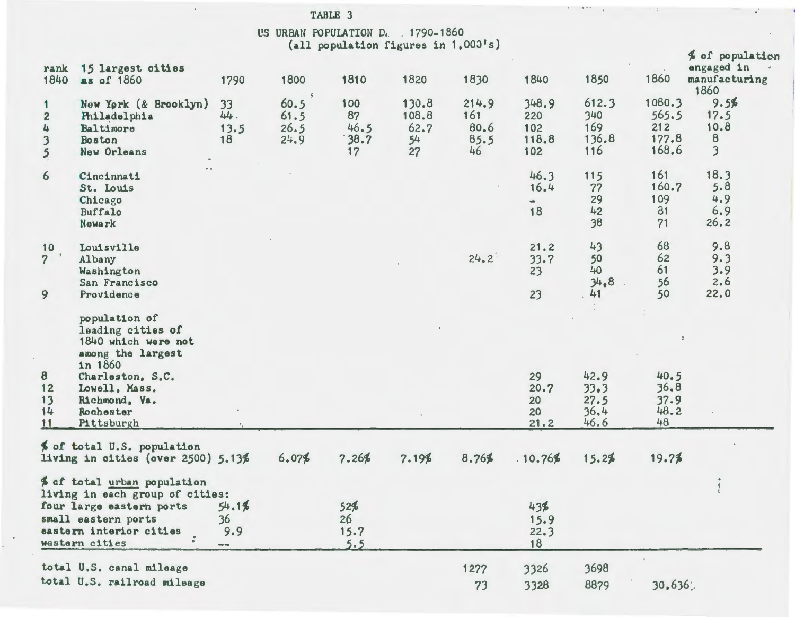|                                                                       |                                                                                                                                                                            |                                                                                                                                                                                                                                                                                                                                                                                                                    | US URBAN POPULATION D. 1790-1860 |                                 | (all population figures in 1,000's) |                                    |                                     |                                      |                                          |                                                                     |
|-----------------------------------------------------------------------|----------------------------------------------------------------------------------------------------------------------------------------------------------------------------|--------------------------------------------------------------------------------------------------------------------------------------------------------------------------------------------------------------------------------------------------------------------------------------------------------------------------------------------------------------------------------------------------------------------|----------------------------------|---------------------------------|-------------------------------------|------------------------------------|-------------------------------------|--------------------------------------|------------------------------------------|---------------------------------------------------------------------|
| rank<br>1840                                                          | 15 largest cities<br>as of 1860                                                                                                                                            | 1790                                                                                                                                                                                                                                                                                                                                                                                                               | 1800                             | 1810                            | 1820                                | 1830                               | 1840                                | 1850                                 | 1860                                     | % of population<br>engaged in<br>manufacturing<br>1860              |
| 1<br>$\overline{c}$<br>4<br>$\overline{\mathbf{3}}$<br>$\mathfrak{s}$ | New York (& Brooklyn)<br>Philadelphia<br>Baltimore<br>Boston<br>New Orleans                                                                                                | 33<br>44.<br>13.5<br>18                                                                                                                                                                                                                                                                                                                                                                                            | 60.5<br>61.5<br>26.5<br>24.9     | 100<br>87<br>46.5<br>38.7<br>17 | 130.8<br>108.8<br>62.7<br>54<br>27  | 214.9<br>161<br>80.6<br>85.5<br>46 | 348.9<br>220<br>102<br>118.8<br>102 | 612.3<br>340<br>169<br>136.8<br>116  | 1080.3<br>565.5<br>212<br>177.8<br>168.6 | 9.5%<br>17.5<br>10.8<br>$\boldsymbol{8}$<br>$\overline{\mathbf{3}}$ |
| 6                                                                     | Cincinnati<br>St. Louis<br>Chicago<br>Buffalo<br>Newark                                                                                                                    |                                                                                                                                                                                                                                                                                                                                                                                                                    |                                  |                                 |                                     |                                    | 46.3<br>16.4<br>18                  | 115<br>77<br>29<br>42<br>38          | 161<br>160.7<br>109<br>81<br>71          | 18.3<br>5.8<br>4.9<br>6.9<br>26.2                                   |
| 10<br>$\sim 10^{-1}$<br>$\overline{\mathcal{L}}$<br>9                 | Louisville<br>Albany<br>Washington<br>San Francisco<br>Providence                                                                                                          |                                                                                                                                                                                                                                                                                                                                                                                                                    |                                  |                                 |                                     | 24.2                               | 21.2<br>33.7<br>23<br>23            | 43<br>50<br>40<br>34.8<br>41         | 68<br>62<br>61<br>56<br>50               | 9.8<br>9.3<br>3.9<br>2.6<br>22.0                                    |
| 8<br>$12$<br>13<br>14<br>11                                           | population of<br>leading cities of<br>1840 which were not<br>among the largest<br>in 1860<br>Charleston, S.C.<br>Lowell, Mass.<br>Richmond, Va.<br>Rochester<br>Pittsburgh |                                                                                                                                                                                                                                                                                                                                                                                                                    |                                  |                                 |                                     |                                    | 29<br>20.7<br>20<br>20<br>21.2      | 42.9<br>33.3<br>27.5<br>36,4<br>46.6 | 40.5<br>36.8<br>37.9<br>48.2<br>48       |                                                                     |
|                                                                       | % of total U.S. population<br>living in cities (over $2500$ ) $5.13%$                                                                                                      |                                                                                                                                                                                                                                                                                                                                                                                                                    | 6.07%                            | 7.26%                           | 7.19%                               | 8.76%                              | .10.76%                             | 15.2%                                | 19.7%                                    |                                                                     |
|                                                                       | % of total urban population<br>living in each group of cities:<br>four large eastern ports<br>small eastern ports<br>eastern interior cities<br>western cities             | 54.1%<br>36<br>9.9<br>$\frac{1}{2} \frac{1}{2} \frac{1}{2} \frac{1}{2} \frac{1}{2} \frac{1}{2} \frac{1}{2} \frac{1}{2} \frac{1}{2} \frac{1}{2} \frac{1}{2} \frac{1}{2} \frac{1}{2} \frac{1}{2} \frac{1}{2} \frac{1}{2} \frac{1}{2} \frac{1}{2} \frac{1}{2} \frac{1}{2} \frac{1}{2} \frac{1}{2} \frac{1}{2} \frac{1}{2} \frac{1}{2} \frac{1}{2} \frac{1}{2} \frac{1}{2} \frac{1}{2} \frac{1}{2} \frac{1}{2} \frac{$ |                                  | 52%<br>26<br>15.7<br>5.5        |                                     |                                    | 43%<br>15.9<br>22.3<br>18           |                                      |                                          |                                                                     |
|                                                                       | total U.S. canal mileage<br>total U.S. railroad mileage                                                                                                                    |                                                                                                                                                                                                                                                                                                                                                                                                                    |                                  |                                 |                                     | 1277<br>73                         | 3326<br>3328                        | 3698<br>8879                         | $\mathbf{I}$<br>30,636                   |                                                                     |

TABLE 3